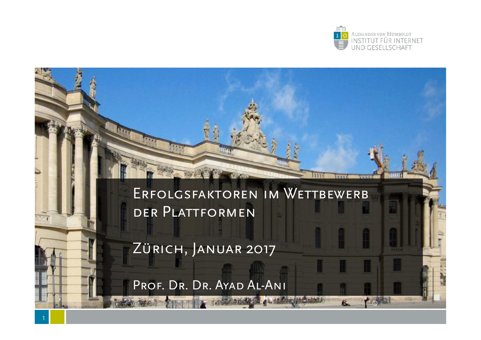

#### ERFOLGSFAKTOREN IM WETTBEWERB der Plattformen

**MM** 

 $\overline{\mathbf{g}}$ 

Zürich, Januar 2017

**WAY** 

PROF. DR. DR. AYAD AL-ANI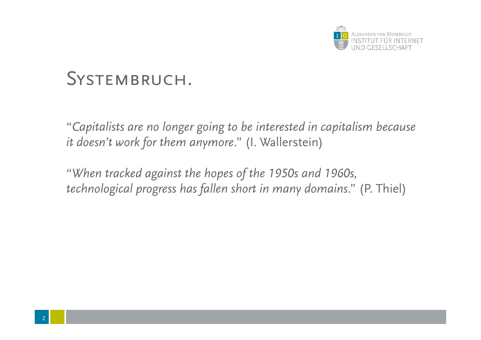

## SYSTEMBRUCH.

"*Capitalists are no longer going to be interested in capitalism because it doesn't work for them anymore*." (I. Wallerstein)

"*When tracked against the hopes of the 1950s and 1960s, technological progress has fallen short in many domains*." (P. Thiel)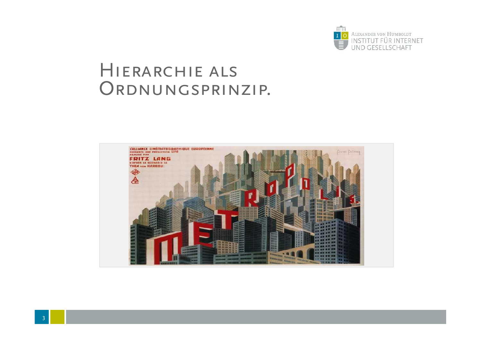

### Hierarchie als ORDNUNGSPRINZIP.

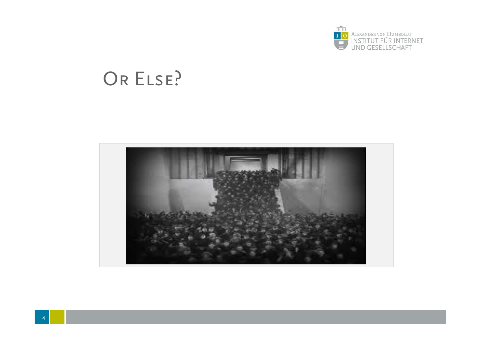

# OR ELSE?

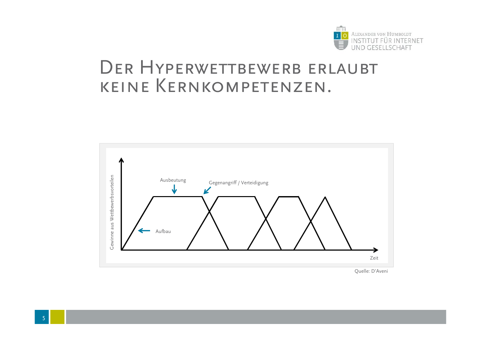

#### DER HYPERWETTBEWERB ERLAUBT keine Kernkompetenzen.



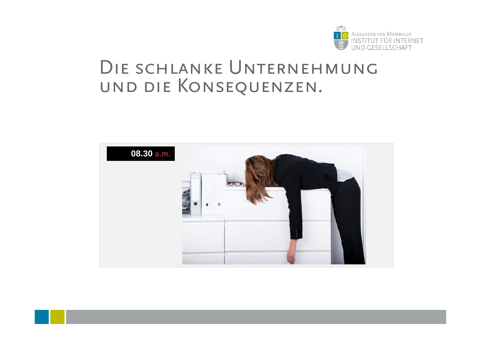

#### DIE SCHLANKE UNTERNEHMUNG und die Konsequenzen.

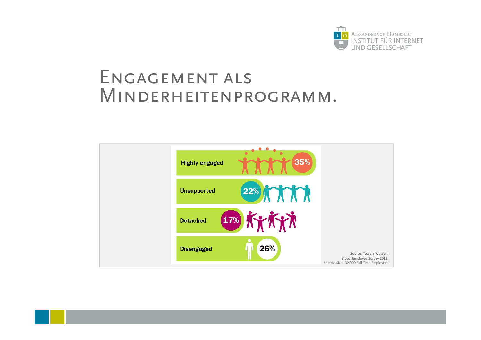

#### ENGAGEMENT ALS Minderheitenprogramm.

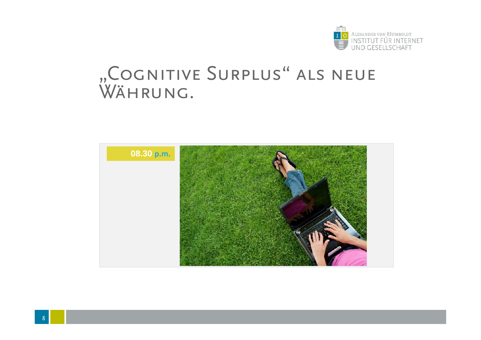

## "COGNITIVE SURPLUS" ALS NEUE Währung.

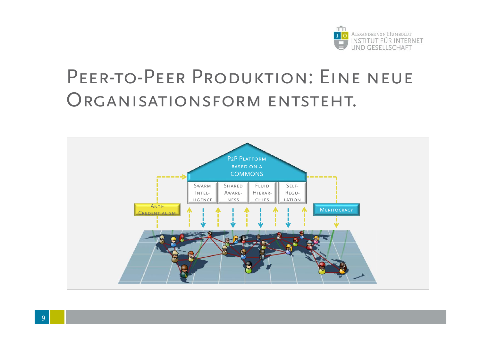

# PEER-TO-PEER PRODUKTION: EINE NEUE ORGANISATIONSFORM ENTSTEHT.

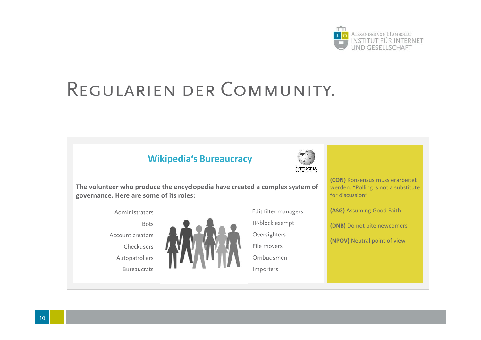

# Regularien der Community.





**The volunteer who produce the encyclopedia have created a complex system of governance. Here are some of its roles:**





**(CON)** Konsensus muss erarbeitet werden. "Polling is not a substitute for discussion"

**(ASG)** Assuming Good Faith

**(DNB)** Do not bite newcomers

**(NPOV)** Neutral point of view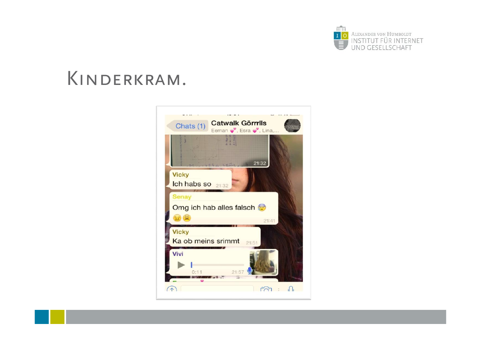

### Kinderkram.

11

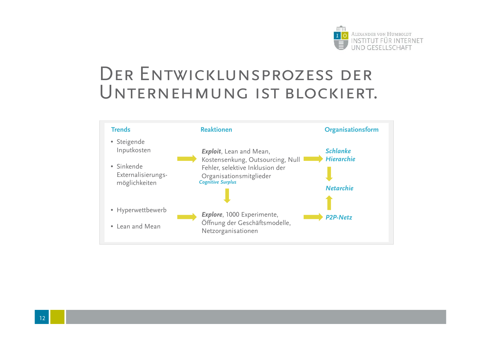

### DER ENTWICKLUNSPROZESS DER Unternehmung ist blockiert.

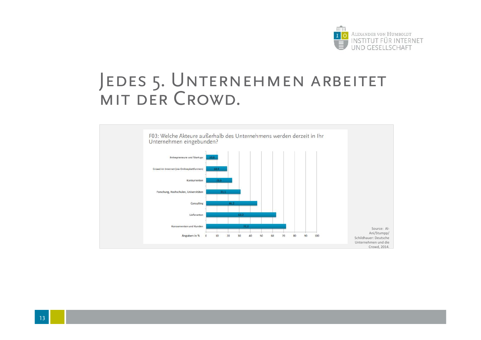

## JEDES 5. UNTERNEHMEN ARBEITET MIT DER CROWD.

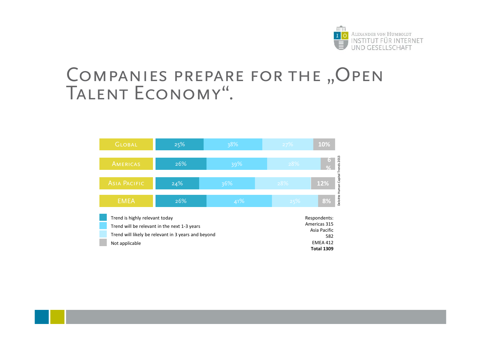

#### COMPANIES PREPARE FOR THE "OPEN Talent Economy".

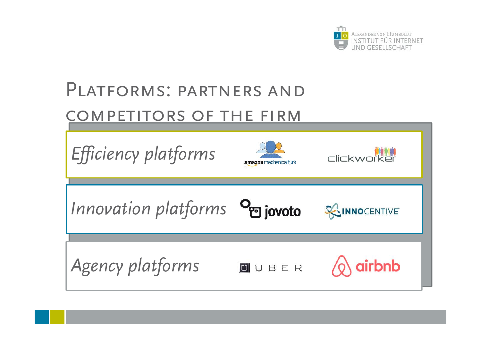

# Platforms: partners and COMPETITORS OF THE FIRM

<u>1551 - Jan Jawa</u>

| Efficiency platforms           | amazon mechanical turk | Clickworker          |
|--------------------------------|------------------------|----------------------|
| Innovation platforms on jovoto |                        | <b>SOINNOCENTIVE</b> |
| Agency platforms               | <b>U</b> UBER          | airbnb               |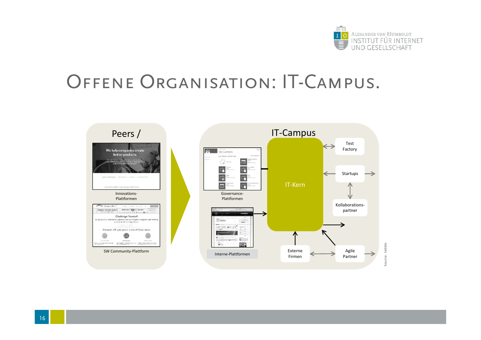

# OFFENE ORGANISATION: IT-CAMPUS.

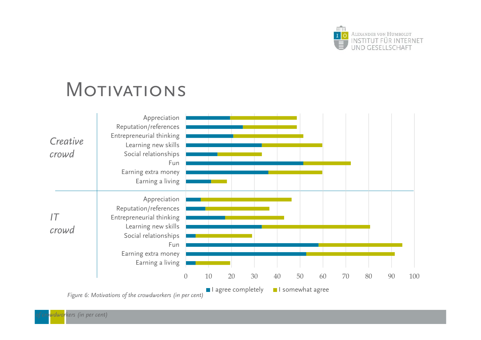

# **MOTIVATIONS**

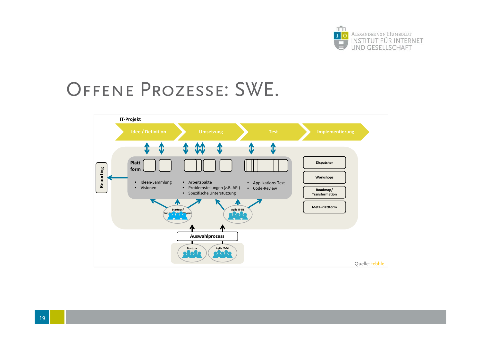

# Offene Prozesse: SWE.

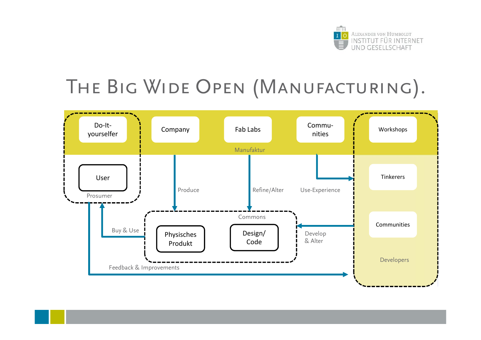

# THE BIG WIDE OPEN (MANUFACTURING).



<u>1991 - Jan Jawa</u>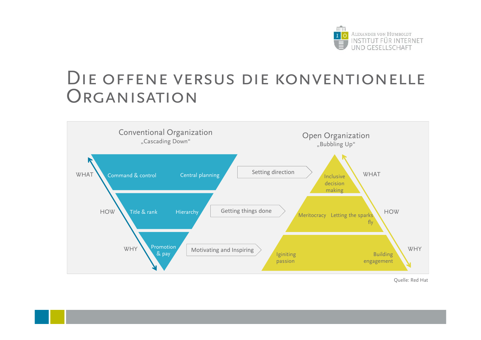

#### Die offene versus die konventionelle **ORGANISATION**



Quelle: Red Hat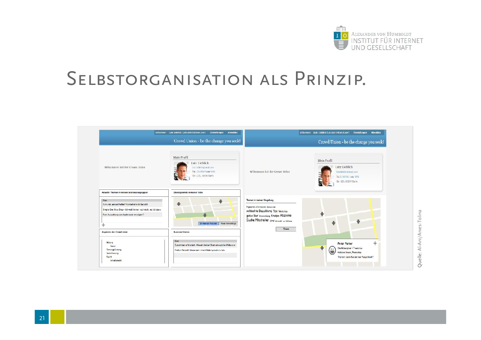

# Selbstorganisation als Prinzip.

| Lutz Lieblich<br>Wilkommen bei der Crown Union<br>lutz Schlehgemail.com<br>Wilkommen bei der Crown Union<br>Tel.12345567 cder SMS<br>lutzliebicht/cmail.com<br>Str. 123, 10299 Berlin<br>Tel.12345567 oder SMS<br>Str. 123, 10299 Ballin<br>Aktuelle Themen in meinen Interessensgruppen<br>Gleichgesinnte in meiner Nähe<br>Themen in mainer Umgebung<br>Titel<br>$\ddot{\phantom{1}}$<br>₩<br>Konn mir jemand helfen? Kunde hot nicht bezohlt<br>Ergonomia Arbaitopiatz (literaturden<br>Simple One Stop Shop - ich weiß immer noch nicht, wo ich das c<br>schlechte Bezahlung Taxi Warkshap<br>Euro Auszahlung von Apple auch verzägert?<br>gutes Bier Veranchung Kneipe Abzooke<br>Suche Mitstreiter only process in National |
|-----------------------------------------------------------------------------------------------------------------------------------------------------------------------------------------------------------------------------------------------------------------------------------------------------------------------------------------------------------------------------------------------------------------------------------------------------------------------------------------------------------------------------------------------------------------------------------------------------------------------------------------------------------------------------------------------------------------------------------|
|                                                                                                                                                                                                                                                                                                                                                                                                                                                                                                                                                                                                                                                                                                                                   |
|                                                                                                                                                                                                                                                                                                                                                                                                                                                                                                                                                                                                                                                                                                                                   |
|                                                                                                                                                                                                                                                                                                                                                                                                                                                                                                                                                                                                                                                                                                                                   |
|                                                                                                                                                                                                                                                                                                                                                                                                                                                                                                                                                                                                                                                                                                                                   |
| In mainen Kreisen   Neue Vorschläge                                                                                                                                                                                                                                                                                                                                                                                                                                                                                                                                                                                                                                                                                               |
| ÷<br>Fitem<br>Angebote der Crowd Union<br><b>Success Stories</b>                                                                                                                                                                                                                                                                                                                                                                                                                                                                                                                                                                                                                                                                  |
| Titel<br>Bidung                                                                                                                                                                                                                                                                                                                                                                                                                                                                                                                                                                                                                                                                                                                   |
| Peter Parker<br>Zusammen erfolgreich. Wie ein kleiner Stein eine große Wolle ausl<br>Kurse<br>Grafikdesigner / Freelance<br>f s e<br>Firmengründung<br>Endish Einsight Stewerant nimmt Widerspruch zurück-                                                                                                                                                                                                                                                                                                                                                                                                                                                                                                                        |
| $\blacksquare$<br>Hobbiest lesen, Photoshop<br>Versicherung<br>Recht<br>Themen, beim Kunden nur Katzentisch?                                                                                                                                                                                                                                                                                                                                                                                                                                                                                                                                                                                                                      |
| Arbeitsrecht                                                                                                                                                                                                                                                                                                                                                                                                                                                                                                                                                                                                                                                                                                                      |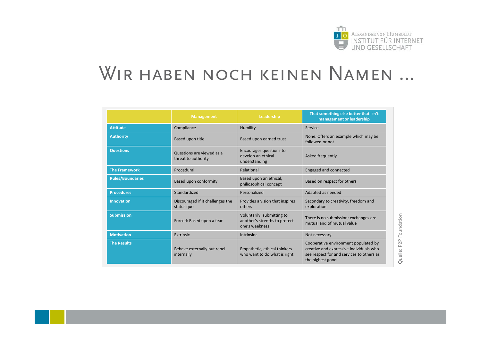

## WIR HABEN NOCH KEINEN NAMEN ...

|                         | <b>Management</b>                                | Leadership                                                                    | That something else better that isn't<br>management or leadership                                                                                |
|-------------------------|--------------------------------------------------|-------------------------------------------------------------------------------|--------------------------------------------------------------------------------------------------------------------------------------------------|
| <b>Attitude</b>         | Compliance                                       | Humility                                                                      | Service                                                                                                                                          |
| <b>Authority</b>        | Based upon title                                 | Based upon earned trust                                                       | None. Offers an example which may be<br>followed or not                                                                                          |
| <b>Questions</b>        | Questions are viewed as a<br>threat to authority | Encourages questions to<br>develop an ethical<br>understanding                | Asked frequently                                                                                                                                 |
| <b>The Framework</b>    | Procedural                                       | Relational                                                                    | Engaged and connected                                                                                                                            |
| <b>Rules/Boundaries</b> | Based upon conformity                            | Based upon an ethical,<br>philiosophical concept                              | Based on respect for others                                                                                                                      |
| <b>Procedures</b>       | Standardized                                     | Personalized                                                                  | Adapted as needed                                                                                                                                |
| <b>Innovation</b>       | Discouraged if it challenges the<br>status quo   | Provides a vision that inspires<br>others                                     | Secondary to creativity, freedom and<br>exploration                                                                                              |
| <b>Submission</b>       | Forced: Based upon a fear                        | Voluntarily: submitting to<br>another's strenths to protect<br>one's weekness | There is no submission; exchanges are<br>mutual and of mutual value                                                                              |
| <b>Motivation</b>       | Extrinsic                                        | Intrinsinc                                                                    | Not necessary                                                                                                                                    |
| <b>The Results</b>      | Behave externally but rebel<br>internally        | Empathetic, ethical thinkers<br>who want to do what is right                  | Cooperative environment populated by<br>creative and expressive individuals who<br>see respect for and services to others as<br>the highest good |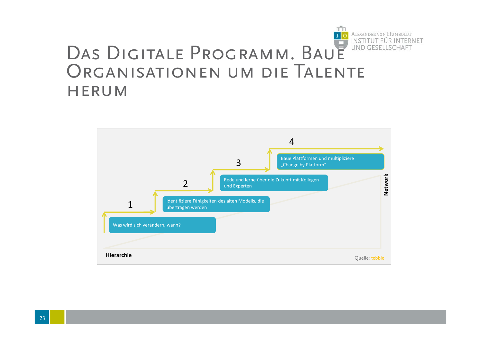

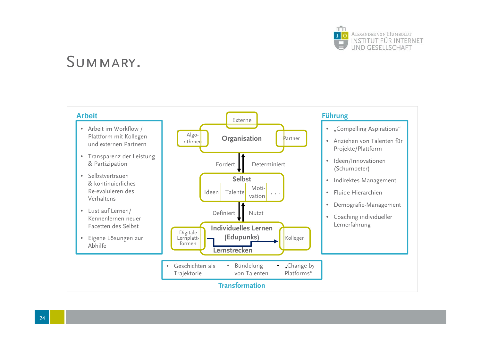

#### Summary.